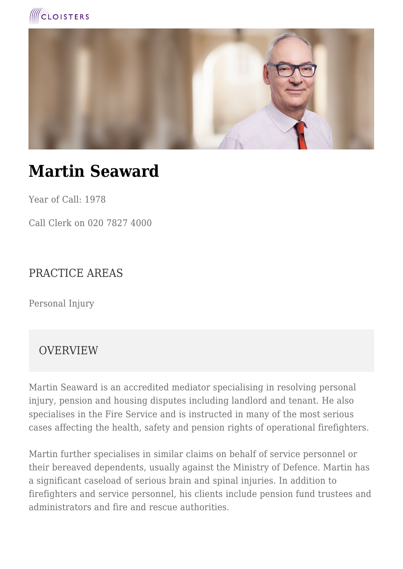



# **Martin Seaward**

Year of Call: 1978

Call Clerk on 020 7827 4000

#### PRACTICE AREAS

Personal Injury

#### **OVERVIEW**

Martin Seaward is an accredited mediator specialising in resolving personal injury, pension and housing disputes including landlord and tenant. He also specialises in the Fire Service and is instructed in many of the most serious cases affecting the health, safety and pension rights of operational firefighters.

Martin further specialises in similar claims on behalf of service personnel or their bereaved dependents, usually against the Ministry of Defence. Martin has a significant caseload of serious brain and spinal injuries. In addition to firefighters and service personnel, his clients include pension fund trustees and administrators and fire and rescue authorities.